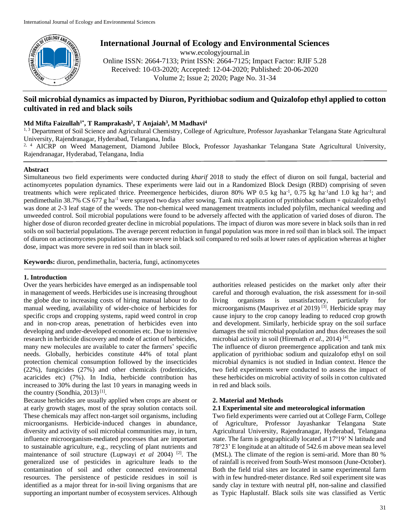

# **International Journal of Ecology and Environmental Sciences**

www.ecologyjournal.in Online ISSN: 2664-7133; Print ISSN: 2664-7125; Impact Factor: RJIF 5.28 Received: 10-03-2020; Accepted: 12-04-2020; Published: 20-06-2020 Volume 2; Issue 2; 2020; Page No. 31-34

## **Soil microbial dynamics as impacted by Diuron, Pyrithiobac sodium and Quizalofop ethyl applied to cotton cultivated in red and black soils**

## **Md Mifta Faizullah1\*, T Ramprakash<sup>2</sup> , T Anjaiah<sup>3</sup> , M Madhavi<sup>4</sup>**

1, 3 Department of Soil Science and Agricultural Chemistry, College of Agriculture, Professor Jayashankar Telangana State Agricultural University, Rajendranagar, Hyderabad, Telangana, India

 $2, 4$  AICRP on Weed Management, Diamond Jubilee Block, Professor Jayashankar Telangana State Agricultural University, Rajendranagar, Hyderabad, Telangana, India

## **Abstract**

Simultaneous two field experiments were conducted during *kharif* 2018 to study the effect of diuron on soil fungal, bacterial and actinomycetes population dynamics. These experiments were laid out in a Randomized Block Design (RBD) comprising of seven treatments which were replicated thrice. Preemergence herbicides, diuron 80% WP 0.5 kg ha<sup>-1</sup>, 0.75 kg ha<sup>-1</sup> and 1.0 kg ha<sup>-1</sup>; and pendimethalin 38.7% CS 677 g ha-1 were sprayed two days after sowing. Tank mix application of pyrithiobac sodium + quizalofop ethyl was done at 2-3 leaf stage of the weeds. The non-chemical weed management treatments included polyfilm, mechanical weeding and unweeded control. Soil microbial populations were found to be adversely affected with the application of varied doses of diuron. The higher dose of diuron recorded greater decline in microbial populations. The impact of diuron was more severe in black soils than in red soils on soil bacterial populations. The average percent reduction in fungal population was more in red soil than in black soil. The impact of diuron on actinomycetes population was more severe in black soil compared to red soils at lower rates of application whereas at higher dose, impact was more severe in red soil than in black soil.

**Keywords:** diuron, pendimethalin, bacteria, fungi, actinomycetes

## **1. Introduction**

Over the years herbicides have emerged as an indispensable tool in management of weeds. Herbicides use is increasing throughout the globe due to increasing costs of hiring manual labour to do manual weeding, availability of wider-choice of herbicides for specific crops and cropping systems, rapid weed control in crop and in non-crop areas, penetration of herbicides even into developing and under-developed economies etc. Due to intensive research in herbicide discovery and mode of action of herbicides, many new molecules are available to cater the farmers' specific needs. Globally, herbicides constitute 44% of total plant protection chemical consumption followed by the insecticides (22%), fungicides (27%) and other chemicals (rodenticides, acaricides etc) (7%). In India, herbicide contribution has increased to 30% during the last 10 years in managing weeds in the country (Sondhia, 2013)<sup>[1]</sup>.

Because herbicides are usually applied when crops are absent or at early growth stages, most of the spray solution contacts soil. These chemicals may affect non-target soil organisms, including microorganisms. Herbicide-induced changes in abundance, diversity and activity of soil microbial communities may, in turn, influence microorganism-mediated processes that are important to sustainable agriculture, e.g., recycling of plant nutrients and maintenance of soil structure (Lupwayi *et al* 2004) [2]. The generalized use of pesticides in agriculture leads to the contamination of soil and other connected environmental resources. The persistence of pesticide residues in soil is identified as a major threat for in-soil living organisms that are supporting an important number of ecosystem services. Although authorities released pesticides on the market only after their careful and thorough evaluation, the risk assessment for in-soil living organisms is unsatisfactory, particularly for microorganisms (Mauprivez *et al* 2019)<sup>[3]</sup>. Herbicide spray may cause injury to the crop canopy leading to reduced crop growth and development. Similarly, herbicide spray on the soil surface damages the soil microbial population and thus decreases the soil microbial activity in soil (Hiremath et al., 2014)<sup>[4]</sup>.

The influence of diuron preemergence application and tank mix application of pyrithiobac sodium and quizalofop ethyl on soil microbial dynamics is not studied in Indian context. Hence the two field experiments were conducted to assess the impact of these herbicides on microbial activity of soils in cotton cultivated in red and black soils.

## **2. Material and Methods**

## **2.1 Experimental site and meteorological information**

Two field experiments were carried out at College Farm, College of Agriculture, Professor Jayashankar Telangana State Agricultural University, Rajendranagar, Hyderabad, Telangana state. The farm is geographically located at 17°19' N latitude and 78°23' E longitude at an altitude of 542.6 m above mean sea level (MSL). The climate of the region is semi-arid. More than 80 % of rainfall is received from South-West monsoon (June-October). Both the field trial sites are located in same experimental farm with in few hundred-meter distance. Red soil experiment site was sandy clay in texture with neutral pH, non-saline and classified as Typic Haplustalf. Black soils site was classified as Vertic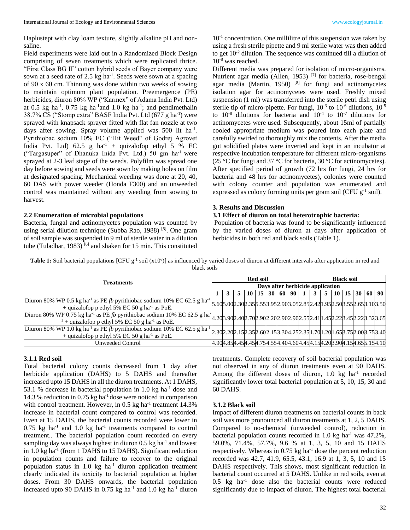Haplustept with clay loam texture, slightly alkaline pH and nonsaline.

Field experiments were laid out in a Randomized Block Design comprising of seven treatments which were replicated thrice. "First Class BG II" cotton hybrid seeds of Bayer company were sown at a seed rate of 2.5 kg ha<sup>-1</sup>. Seeds were sown at a spacing of 90 x 60 cm. Thinning was done within two weeks of sowing to maintain optimum plant population. Preemergence (PE) herbicides*,* diuron 80% WP ("Karmex" of Adama India Pvt. Ltd) at 0.5 kg ha<sup>-1</sup>, 0.75 kg ha<sup>-1</sup> and 1.0 kg ha<sup>-1</sup>; and pendimethalin 38.7% CS ("Stomp extra" BASF India Pvt. Ltd (677 g ha-1 ) were sprayed with knapsack sprayer fitted with flat fan nozzle at two days after sowing. Spray volume applied was 500 lit ha<sup>-1</sup>. Pyrithiobac sodium 10% EC ("Hit Weed" of Godrej Agrovet India Pvt. Ltd)  $62.5$  g ha<sup>-1</sup> + quizalofop ethyl 5 % EC ("Targasuper" of Dhanuka Inida Pvt. Ltd.) 50 gm ha-1 were sprayed at 2-3 leaf stage of the weeds. Polyfilm was spread one day before sowing and seeds were sown by making holes on film at designated spacing. Mechanical weeding was done at 20, 40, 60 DAS with power weeder (Honda F300) and an unweeded control was maintained without any weeding from sowing to harvest.

#### **2.2 Enumeration of microbial populations**

Bacteria**,** fungal and actinomycetes population was counted by using serial dilution technique (Subba Rao, 1988) [5]. One gram of soil sample was suspended in 9 ml of sterile water in a dilution tube (Tuladhar, 1983)  $[6]$  and shaken for 15 min. This constituted

10<sup>-1</sup> concentration. One millilitre of this suspension was taken by using a fresh sterile pipette and 9 ml sterile water was then added to get 10-2 dilution. The sequence was continued till a dilution of 10-8 was reached.

Different media was prepared for isolation of micro-organisms. Nutrient agar media (Allen, 1953)<sup>[7]</sup> for bacteria, rose-bengal agar media (Martin, 1950)  $[8]$  for fungi and actinomycetes isolation agar for actinomycetes were used. Freshly mixed suspension (1 ml) was transferred into the sterile petri dish using sterile tip of micro-pipette. For fungi,  $10^{-3}$  to  $10^{-6}$  dilutions,  $10^{-5}$ to  $10^{-8}$  dilutions for bacteria and  $10^{-4}$  to  $10^{-7}$  dilutions for actinomycetes were used. Subsequently, about 15ml of partially cooled appropriate medium was poured into each plate and carefully swirled to thoroughly mix the contents. After the media got solidified plates were inverted and kept in an incubator at respective incubation temperature for different micro-organisms (25 °C for fungi and 37 °C for bacteria, 30 °C for actinomycetes). After specified period of growth (72 hrs for fungi, 24 hrs for bacteria and 48 hrs for actinomycetes), colonies were counted with colony counter and population was enumerated and expressed as colony forming units per gram soil (CFU  $g^{-1}$  soil).

#### **3. Results and Discussion**

#### **3.1 Effect of diuron on total heterotrophic bacteria:**

Population of bacteria was found to be significantly influenced by the varied doses of diuron at days after application of herbicides in both red and black soils (Table 1).

**Table 1:** Soil bacterial populations [CFU  $g^{-1}$  soil (x10<sup>6</sup>)] as influenced by varied doses of diuron at different intervals after application in red and black soils

|                                                                                                                                                                                                                                             |                                  |                                                                                 |  |      | <b>Red soil</b> |  |              |  | <b>Black soil</b> |   |   |  |                                      |  |  |  |
|---------------------------------------------------------------------------------------------------------------------------------------------------------------------------------------------------------------------------------------------|----------------------------------|---------------------------------------------------------------------------------|--|------|-----------------|--|--------------|--|-------------------|---|---|--|--------------------------------------|--|--|--|
| Treatments                                                                                                                                                                                                                                  | Days after herbicide application |                                                                                 |  |      |                 |  |              |  |                   |   |   |  |                                      |  |  |  |
|                                                                                                                                                                                                                                             |                                  | 3                                                                               |  | 10 I | 15 <sub>1</sub> |  | 30   60   90 |  |                   | 3 | 5 |  | $10 \mid 15 \mid 30 \mid 60 \mid 90$ |  |  |  |
| Diuron 80% WP 0.5 kg ha <sup>-1</sup> as PE fb pyrithiobac sodium 10% EC 62.5 g ha <sup>-1</sup> 5.60 5.00 2.30 2.35 5.5 3.95 2.90 3.05 2.85 2.92 1.95 2.50 3.55 2.65 3.10 3.50<br>+ quizalofop p ethyl 5% EC 50 g ha <sup>-1</sup> as PoE. |                                  |                                                                                 |  |      |                 |  |              |  |                   |   |   |  |                                      |  |  |  |
| Diuron 80% WP 0.75 kg ha <sup>-1</sup> as PE fb pyrithiobac sodium 10% EC 62.5 g ha 4.203.902.402.702.902.902.902.902.902.552.41 1.452.223.452.223.323.65<br><sup>1</sup> + quizalofop p ethyl 5% EC 50 g ha <sup>-1</sup> as PoE.          |                                  |                                                                                 |  |      |                 |  |              |  |                   |   |   |  |                                      |  |  |  |
| Diuron 80% WP 1.0 kg ha <sup>-1</sup> as PE fb pyrithiobac sodium 10% EC 62.5 g ha <sup>-1</sup><br>+ quizalofop p ethyl 5% EC 50 g ha <sup>-1</sup> as PoE.                                                                                |                                  | 2.30 2.20 2.15 2.35 2.60 2.15 3.30 4.25 2.35 1.70 1.20 1.65 3.75 2.00 3.75 3.40 |  |      |                 |  |              |  |                   |   |   |  |                                      |  |  |  |
| <b>Unweeded Control</b>                                                                                                                                                                                                                     |                                  | 4.90 4.85 4.45 4.45 4.75 4.55 4.40 4.60 4.45 4.15 4.20 3.90 4.15 4.65 5.15 4.10 |  |      |                 |  |              |  |                   |   |   |  |                                      |  |  |  |

#### **3.1.1 Red soil**

Total bacterial colony counts decreased from 1 day after herbicide application (DAHS) to 5 DAHS and thereafter increased upto 15 DAHS in all the diuron treatments. At 1 DAHS, 53.1 % decrease in bacterial population in 1.0 kg ha<sup>-1</sup> dose and 14.3 % reduction in 0.75 kg ha-1 dose were noticed in comparison with control treatment. However, in  $0.5$  kg ha<sup>-1</sup> treatment  $14.3\%$ increase in bacterial count compared to control was recorded. Even at 15 DAHS, the bacterial counts recorded were lower in  $0.75$  kg ha<sup>-1</sup> and  $1.0$  kg ha<sup>-1</sup> treatments compared to control treatment.. The bacterial population count recorded on every sampling day was always highest in diuron  $0.5$  kg ha<sup>-1</sup> and lowest in 1.0 kg ha<sup>-1</sup> (from 1 DAHS to 15 DAHS). Significant reduction in population counts and failure to recover to the original population status in 1.0 kg ha<sup>-1</sup> diuron application treatment clearly indicated its toxicity to bacterial population at higher doses. From 30 DAHS onwards, the bacterial population increased upto 90 DAHS in  $0.75$  kg ha<sup>-1</sup> and  $1.0$  kg ha<sup>-1</sup> diuron

treatments. Complete recovery of soil bacterial population was not observed in any of diuron treatments even at 90 DAHS. Among the different doses of diuron, 1.0 kg ha<sup>-1</sup> recorded significantly lower total bacterial population at 5, 10, 15, 30 and 60 DAHS.

## **3.1.2 Black soil**

Impact of different diuron treatments on bacterial counts in back soil was more pronounced all diuron treatments at 1, 2, 5 DAHS. Compared to no-chemical (unweeded control), reduction in bacterial population counts recorded in 1.0 kg ha<sup>-1</sup> was  $47.2\%$ , 59.0%, 71.4%, 57.7%, 9.6 % at 1, 3, 5, 10 and 15 DAHS respectively. Whereas in  $0.75$  kg ha<sup>-1</sup> dose the percent reduction recorded was 42.7, 41.9, 65.5, 43.1, 16.9 at 1, 3, 5, 10 and 15 DAHS respectively. This shows, most significant reduction in bacterial count occurred at 5 DAHS. Unlike in red soils, even at 0.5 kg ha-1 dose also the bacterial counts were reduced significantly due to impact of diuron. The highest total bacterial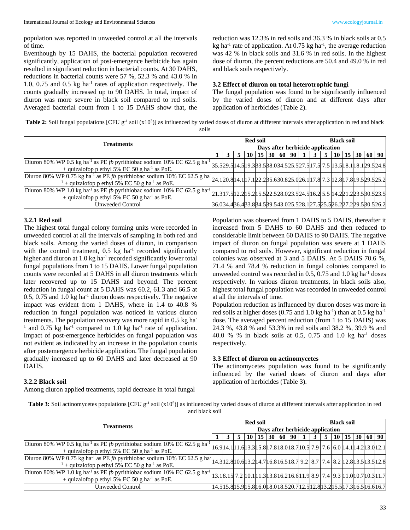population was reported in unweeded control at all the intervals of time.

Eventhough by 15 DAHS, the bacterial population recovered significantly, application of post-emergence herbicide has again resulted in significant reduction in bacterial counts. At 30 DAHS, reductions in bacterial counts were 57 %, 52.3 % and 43.0 % in 1.0, 0.75 and 0.5 kg ha<sup>-1</sup> rates of application respectively. The counts gradually increased up to 90 DAHS. In total, impact of diuron was more severe in black soil compared to red soils. Averaged bacterial count from 1 to 15 DAHS show that, the reduction was 12.3% in red soils and 36.3 % in black soils at 0.5 kg ha<sup>-1</sup> rate of application. At  $0.75$  kg ha<sup>-1</sup>, the average reduction was 42 % in black soils and 31.6 % in red soils. In the highest dose of diuron, the percent reductions are 50.4 and 49.0 % in red and black soils respectively.

#### **3.2 Effect of diuron on total heterotrophic fungi**

The fungal population was found to be significantly influenced by the varied doses of diuron and at different days after application of herbicides (Table 2).

Table 2: Soil fungal populations [CFU g<sup>-1</sup> soil (x10<sup>3</sup>)] as influenced by varied doses of diuron at different intervals after application in red and black soils

|                                                                                                                                                                                                                                            |                                  |   |  |  | <b>Red soil</b> |  |  |  | <b>Black soil</b>                           |   |  |  |  |  |  |                                                                  |
|--------------------------------------------------------------------------------------------------------------------------------------------------------------------------------------------------------------------------------------------|----------------------------------|---|--|--|-----------------|--|--|--|---------------------------------------------|---|--|--|--|--|--|------------------------------------------------------------------|
| <b>Treatments</b>                                                                                                                                                                                                                          | Days after herbicide application |   |  |  |                 |  |  |  |                                             |   |  |  |  |  |  |                                                                  |
|                                                                                                                                                                                                                                            |                                  | 3 |  |  |                 |  |  |  | $10 \mid 15 \mid 30 \mid 60 \mid 90 \mid 1$ | 3 |  |  |  |  |  | 5   10   15   30   60   90                                       |
| Diuron 80% WP 0.5 kg ha <sup>-1</sup> as PE fb pyrithiobac sodium 10% EC 62.5 g ha <sup>-1</sup> 35.5 29.5 14.5 19.3 3.5 38.0 34.5 25.5 27.5 17.5 7.5 13.5 18.1 18.1 29.5 24.8<br>+ quizalofop p ethyl 5% EC 50 g ha <sup>-1</sup> as PoE. |                                  |   |  |  |                 |  |  |  |                                             |   |  |  |  |  |  |                                                                  |
| Diuron 80% WP 0.75 kg ha <sup>-1</sup> as PE fb pyrithiobac sodium 10% EC 62.5 g ha 24.120.8 14.1 17.1 22.2 35.6 30.8 25.0 26.1 17.8 7.3 12.8 17.8 19.5 29.5 25.2<br><sup>1</sup> + quizalofop p ethyl 5% EC 50 g ha <sup>-1</sup> as PoE. |                                  |   |  |  |                 |  |  |  |                                             |   |  |  |  |  |  |                                                                  |
| Diuron 80% WP 1.0 kg ha <sup>-1</sup> as PE fb pyrithiobac sodium 10% EC 62.5 g ha <sup>-1</sup> 21.3 17.5 12.2 15.5 22.5 28.0 23.5 24.5 16.2 5.5 14.2 21.2 23.5 30.5 23.5<br>+ quizalofop p ethyl 5% EC 50 g ha <sup>-1</sup> as PoE.     |                                  |   |  |  |                 |  |  |  |                                             |   |  |  |  |  |  |                                                                  |
| Unweeded Control                                                                                                                                                                                                                           |                                  |   |  |  |                 |  |  |  |                                             |   |  |  |  |  |  | 36.034.436.433.834.539.543.025.528.127.525.526.227.229.530.526.2 |

#### **3.2.1 Red soil**

The highest total fungal colony forming units were recorded in unweeded control at all the intervals of sampling in both red and black soils. Among the varied doses of diuron, in comparison with the control treatment,  $0.5 \text{ kg}$  ha<sup>-1</sup> recorded significantly higher and diuron at 1.0 kg ha<sup>-1</sup> recorded significantly lower total fungal populations from 1 to 15 DAHS. Lower fungal population counts were recorded at 5 DAHS in all diuron treatments which later recovered up to 15 DAHS and beyond. The percent reduction in fungal count at 5 DAHS was 60.2, 61.3 and 66.5 at 0.5, 0.75 and 1.0 kg ha-1 diuron doses respectively. The negative impact was evident from 1 DAHS, where in 1.4 to 40.8 % reduction in fungal population was noticed in various diuron treatments. The population recovery was more rapid in 0.5 kg ha-<sup>1</sup> and 0.75 kg ha<sup>-1</sup> compared to 1.0 kg ha<sup>-1</sup> rate of application. Impact of post-emergence herbicides on fungal population was not evident as indicated by an increase in the population counts after postemergence herbicide application. The fungal population gradually increased up to 60 DAHS and later decreased at 90 DAHS.

#### **3.2.2 Black soil**

Among diuron applied treatments, rapid decrease in total fungal

Population was observed from 1 DAHS to 5 DAHS, thereafter it increased from 5 DAHS to 60 DAHS and then reduced to considerable limit between 60 DAHS to 90 DAHS. The negative impact of diuron on fungal population was severe at 1 DAHS compared to red soils. However, significant reduction in fungal colonies was observed at 3 and 5 DAHS. At 5 DAHS 70.6 %, 71.4 % and 78.4 % reduction in fungal colonies compared to unweeded control was recorded in  $0.5$ ,  $0.75$  and  $1.0$  kg ha<sup>-1</sup> doses respectively. In various diuron treatments, in black soils also, highest total fungal population was recorded in unweeded control at all the intervals of time.

Population reduction as influenced by diuron doses was more in red soils at higher doses  $(0.75 \text{ and } 1.0 \text{ kg ha}^{-1})$  than at  $0.5 \text{ kg ha}^{-1}$ dose. The averaged percent reduction (from 1 to 15 DAHS) was 24.3 %, 43.8 % and 53.3% in red soils and 38.2 %, 39.9 % and 40.0 % % in black soils at 0.5, 0.75 and 1.0 kg ha<sup>-1</sup> doses respectively.

#### **3.3 Effect of diuron on actinomycetes**

The actinomycetes population was found to be significantly influenced by the varied doses of diuron and days after application of herbicides (Table 3).

| <b>Table 3:</b> Soil actinomycetes populations [CFU $g^{-1}$ soil $(x10^5)$ ] as influenced by varied doses of diuron at different intervals after application in red |
|-----------------------------------------------------------------------------------------------------------------------------------------------------------------------|
| and black soil                                                                                                                                                        |

|                                                                                                                                                                                                                                                                      |                                  |  |  |  | <b>Red soil</b> |  |  |  | <b>Black soil</b>                           |   |                |  |  |  |  |                                                                                                                                                                                                              |
|----------------------------------------------------------------------------------------------------------------------------------------------------------------------------------------------------------------------------------------------------------------------|----------------------------------|--|--|--|-----------------|--|--|--|---------------------------------------------|---|----------------|--|--|--|--|--------------------------------------------------------------------------------------------------------------------------------------------------------------------------------------------------------------|
| <b>Treatments</b>                                                                                                                                                                                                                                                    | Days after herbicide application |  |  |  |                 |  |  |  |                                             |   |                |  |  |  |  |                                                                                                                                                                                                              |
|                                                                                                                                                                                                                                                                      |                                  |  |  |  |                 |  |  |  | $10 \mid 15 \mid 30 \mid 60 \mid 90 \mid 1$ | 3 | 5 <sup>1</sup> |  |  |  |  | 10 15 30 60 90                                                                                                                                                                                               |
| Diuron 80% WP 0.5 kg ha <sup>-1</sup> as PE fb pyrithiobac sodium 10% EC 62.5 g ha <sup>-1</sup> 16.9 14.1 11.6 13.3 15.8 17.8 18.0 18.7 10.5 7.9 7.6 6.0 14.1 14.2 13.0 12.1<br>+ quizalofop p ethyl 5% EC 50 g ha <sup>-1</sup> as PoE.                            |                                  |  |  |  |                 |  |  |  |                                             |   |                |  |  |  |  |                                                                                                                                                                                                              |
| Diuron 80% WP 0.75 kg ha <sup>-1</sup> as PE fb pyrithiobac sodium 10% EC 62.5 g ha <sup>-</sup> 14.3 12.8 10.6 13.2 14.7 16.8 16.5 18.7 9.2 8.7 7.4 8.2 12.8 13.5 13.5 13.5 13.5 13.5 13.5<br><sup>1</sup> + quizalofop p ethyl 5% EC 50 g ha <sup>-1</sup> as PoE. |                                  |  |  |  |                 |  |  |  |                                             |   |                |  |  |  |  |                                                                                                                                                                                                              |
| Diuron 80% WP 1.0 kg ha <sup>-1</sup> as PE fb pyrithiobac sodium 10% EC 62.5 g ha <sup>-1</sup><br>+ quizalofop p ethyl 5% EC 50 g ha <sup>-1</sup> as PoE.                                                                                                         |                                  |  |  |  |                 |  |  |  |                                             |   |                |  |  |  |  | $\left  13.1 \right  8.15 \left  7.2 \left  10.1 \right  11.3 \left  13.8 \right  16.2 \left  16.6 \left  11.9 \right  8.9 \left  7.4 \right  9.3 \left  11.0 \right  10.7 \left  10.3 \right  11.7 \right $ |
| <b>Unweeded Control</b>                                                                                                                                                                                                                                              |                                  |  |  |  |                 |  |  |  |                                             |   |                |  |  |  |  | 14.5 15.8 15.9 15.8 16.0 18.0 18.5 20.7 12.5 12.8 13.2 15.5 17.3 16.5 16.6 16.7                                                                                                                              |